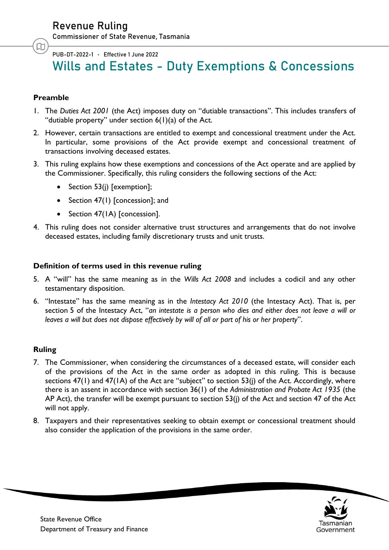吅

PUB-DT-2022-1 Effective 1 June 2022

# Wills and Estates - Duty Exemptions & Concessions

# **Preamble**

- 1. The *Duties Act 2001* (the Act) imposes duty on "dutiable transactions". This includes transfers of "dutiable property" under section 6(1)(a) of the Act.
- 2. However, certain transactions are entitled to exempt and concessional treatment under the Act. In particular, some provisions of the Act provide exempt and concessional treatment of transactions involving deceased estates.
- 3. This ruling explains how these exemptions and concessions of the Act operate and are applied by the Commissioner. Specifically, this ruling considers the following sections of the Act:
	- Section 53(j) [exemption];
	- Section 47(1) [concession]; and
	- Section 47(1A) [concession].
- 4. This ruling does not consider alternative trust structures and arrangements that do not involve deceased estates, including family discretionary trusts and unit trusts.

#### **Definition of terms used in this revenue ruling**

- 5. A "will" has the same meaning as in the *Wills Act 2008* and includes a codicil and any other testamentary disposition.
- 6. "Intestate" has the same meaning as in the *Intestacy Act 2010* (the Intestacy Act). That is, per section 5 of the Intestacy Act, "*an intestate is a person who dies and either does not leave a will or leaves a will but does not dispose effectively by will of all or part of his or her property*".

# **Ruling**

- 7. The Commissioner, when considering the circumstances of a deceased estate, will consider each of the provisions of the Act in the same order as adopted in this ruling. This is because sections 47(1) and 47(1A) of the Act are "subject" to section 53(j) of the Act. Accordingly, where there is an assent in accordance with section 36(1) of the *Administration and Probate Act 1935* (the AP Act), the transfer will be exempt pursuant to section 53(j) of the Act and section 47 of the Act will not apply.
- 8. Taxpayers and their representatives seeking to obtain exempt or concessional treatment should also consider the application of the provisions in the same order.

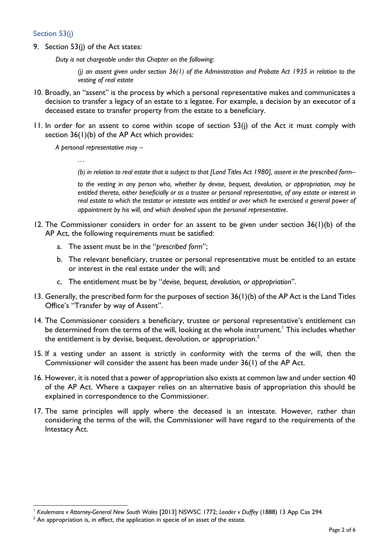### Section 53(j)

9. Section 53(j) of the Act states:

*Duty is not chargeable under this Chapter on the following:*

*(j) an assent given under section 36(1) of the Administration and Probate Act 1935 in relation to the vesting of real estate*

- 10. Broadly, an "assent" is the process by which a personal representative makes and communicates a decision to transfer a legacy of an estate to a legatee. For example, a decision by an executor of a deceased estate to transfer property from the estate to a beneficiary.
- 11. In order for an assent to come within scope of section 53(j) of the Act it must comply with section 36(1)(b) of the AP Act which provides:

*A personal representative may –*

*(b) in relation to real estate that is subject to that [Land Titles Act 1980], assent in the prescribed form–*

*to the vesting in any person who, whether by devise, bequest, devolution, or appropriation, may be entitled thereto, either beneficially or as a trustee or personal representative, of any estate or interest in real estate to which the testator or intestate was entitled or over which he exercised a general power of appointment by his will, and which devolved upon the personal representative*.

- 12. The Commissioner considers in order for an assent to be given under section 36(1)(b) of the AP Act, the following requirements must be satisfied:
	- a. The assent must be in the "*prescribed form*";
	- b. The relevant beneficiary, trustee or personal representative must be entitled to an estate or interest in the real estate under the will; and
	- c. The entitlement must be by "*devise, bequest, devolution, or appropriation*".
- 13. Generally, the prescribed form for the purposes of section 36(1)(b) of the AP Act is the Land Titles Office's "Transfer by way of Assent".
- 14. The Commissioner considers a beneficiary, trustee or personal representative's entitlement can be determined from the terms of the will, looking at the whole instrument.<sup>1</sup> This includes whether the entitlement is by devise, bequest, devolution, or appropriation. $^2$
- 15. If a vesting under an assent is strictly in conformity with the terms of the will, then the Commissioner will consider the assent has been made under 36(1) of the AP Act.
- 16. However, it is noted that a power of appropriation also exists at common law and under section 40 of the AP Act. Where a taxpayer relies on an alternative basis of appropriation this should be explained in correspondence to the Commissioner.
- 17. The same principles will apply where the deceased is an intestate. However, rather than considering the terms of the will, the Commissioner will have regard to the requirements of the Intestacy Act.

 $\overline{\phantom{a}}$ <sup>1</sup> *Keulemans v Attorney-General New South Wales* [2013] NSWSC 1772; *Leader v Duffey* (1888) 13 App Cas 294.

 $2$  An appropriation is, in effect, the application in specie of an asset of the estate.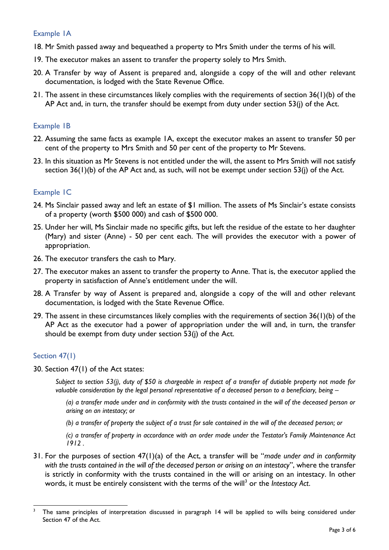#### Example 1A

- 18. Mr Smith passed away and bequeathed a property to Mrs Smith under the terms of his will.
- 19. The executor makes an assent to transfer the property solely to Mrs Smith.
- 20. A Transfer by way of Assent is prepared and, alongside a copy of the will and other relevant documentation, is lodged with the State Revenue Office.
- 21. The assent in these circumstances likely complies with the requirements of section 36(1)(b) of the AP Act and, in turn, the transfer should be exempt from duty under section 53(j) of the Act.

#### Example 1B

- 22. Assuming the same facts as example 1A, except the executor makes an assent to transfer 50 per cent of the property to Mrs Smith and 50 per cent of the property to Mr Stevens.
- 23. In this situation as Mr Stevens is not entitled under the will, the assent to Mrs Smith will not satisfy section 36(1)(b) of the AP Act and, as such, will not be exempt under section 53(j) of the Act.

#### Example 1C

- 24. Ms Sinclair passed away and left an estate of \$1 million. The assets of Ms Sinclair's estate consists of a property (worth \$500 000) and cash of \$500 000.
- 25. Under her will, Ms Sinclair made no specific gifts, but left the residue of the estate to her daughter (Mary) and sister (Anne) - 50 per cent each. The will provides the executor with a power of appropriation.
- 26. The executor transfers the cash to Mary.
- 27. The executor makes an assent to transfer the property to Anne. That is, the executor applied the property in satisfaction of Anne's entitlement under the will.
- 28. A Transfer by way of Assent is prepared and, alongside a copy of the will and other relevant documentation, is lodged with the State Revenue Office.
- 29. The assent in these circumstances likely complies with the requirements of section 36(1)(b) of the AP Act as the executor had a power of appropriation under the will and, in turn, the transfer should be exempt from duty under section 53(j) of the Act.

#### Section 47(1)

30. Section 47(1) of the Act states:

*Subject to section 53(j), duty of \$50 is chargeable in respect of a transfer of dutiable property not made for valuable consideration by the legal personal representative of a deceased person to a beneficiary, being –* 

*(a) a transfer made under and in conformity with the trusts contained in the will of the deceased person or arising on an intestacy; or*

*(b) a transfer of property the subject of a trust for sale contained in the will of the deceased person; or*

*(c) a transfer of property in accordance with an order made under the Testator's Family Maintenance Act 1912 .*

31. For the purposes of section 47(1)(a) of the Act, a transfer will be "*made under and in conformity with the trusts contained in the will of the deceased person or arising on an intestacy*", where the transfer is strictly in conformity with the trusts contained in the will or arising on an intestacy. In other words, it must be entirely consistent with the terms of the will<sup>3</sup> or the *Intestacy Act*.

 $\overline{3}$ The same principles of interpretation discussed in paragraph 14 will be applied to wills being considered under Section 47 of the Act.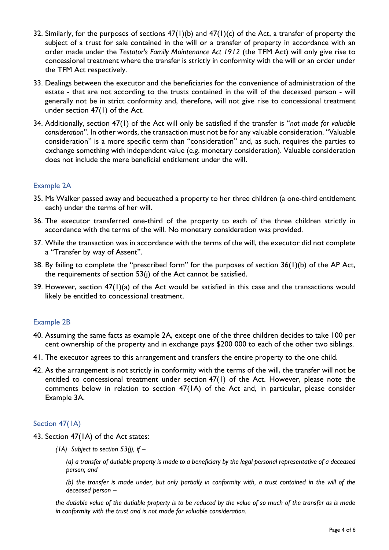- 32. Similarly, for the purposes of sections  $47(1)(b)$  and  $47(1)(c)$  of the Act, a transfer of property the subject of a trust for sale contained in the will or a transfer of property in accordance with an order made under the *Testator's Family Maintenance Act 1912* (the TFM Act) will only give rise to concessional treatment where the transfer is strictly in conformity with the will or an order under the TFM Act respectively.
- 33. Dealings between the executor and the beneficiaries for the convenience of administration of the estate - that are not according to the trusts contained in the will of the deceased person - will generally not be in strict conformity and, therefore, will not give rise to concessional treatment under section 47(1) of the Act.
- 34. Additionally, section 47(1) of the Act will only be satisfied if the transfer is "*not made for valuable consideration*". In other words, the transaction must not be for any valuable consideration. "Valuable consideration" is a more specific term than "consideration" and, as such, requires the parties to exchange something with independent value (e.g. monetary consideration). Valuable consideration does not include the mere beneficial entitlement under the will.

# Example 2A

- 35. Ms Walker passed away and bequeathed a property to her three children (a one-third entitlement each) under the terms of her will.
- 36. The executor transferred one-third of the property to each of the three children strictly in accordance with the terms of the will. No monetary consideration was provided.
- 37. While the transaction was in accordance with the terms of the will, the executor did not complete a "Transfer by way of Assent".
- 38. By failing to complete the "prescribed form" for the purposes of section 36(1)(b) of the AP Act, the requirements of section 53(j) of the Act cannot be satisfied.
- 39. However, section 47(1)(a) of the Act would be satisfied in this case and the transactions would likely be entitled to concessional treatment.

#### Example 2B

- 40. Assuming the same facts as example 2A, except one of the three children decides to take 100 per cent ownership of the property and in exchange pays \$200 000 to each of the other two siblings.
- 41. The executor agrees to this arrangement and transfers the entire property to the one child.
- 42. As the arrangement is not strictly in conformity with the terms of the will, the transfer will not be entitled to concessional treatment under section 47(1) of the Act. However, please note the comments below in relation to section 47(1A) of the Act and, in particular, please consider Example 3A.

#### Section 47(1A)

- 43. Section 47(1A) of the Act states:
	- *(1A) Subject to section 53(j), if –*

*(a) a transfer of dutiable property is made to a beneficiary by the legal personal representative of a deceased person; and*

*(b) the transfer is made under, but only partially in conformity with, a trust contained in the will of the deceased person –*

*the dutiable value of the dutiable property is to be reduced by the value of so much of the transfer as is made in conformity with the trust and is not made for valuable consideration.*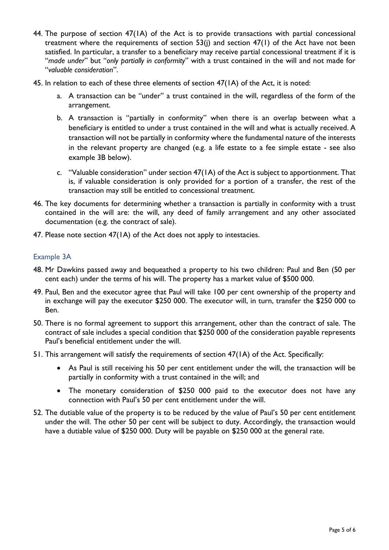- 44. The purpose of section 47(1A) of the Act is to provide transactions with partial concessional treatment where the requirements of section 53(j) and section 47(1) of the Act have not been satisfied. In particular, a transfer to a beneficiary may receive partial concessional treatment if it is "*made under*" but "*only partially in conformity*" with a trust contained in the will and not made for "*valuable consideration*".
- 45. In relation to each of these three elements of section 47(1A) of the Act, it is noted:
	- a. A transaction can be "under" a trust contained in the will, regardless of the form of the arrangement.
	- b. A transaction is "partially in conformity" when there is an overlap between what a beneficiary is entitled to under a trust contained in the will and what is actually received. A transaction will not be partially in conformity where the fundamental nature of the interests in the relevant property are changed (e.g. a life estate to a fee simple estate - see also example 3B below).
	- c. "Valuable consideration" under section 47(1A) of the Act is subject to apportionment. That is, if valuable consideration is only provided for a portion of a transfer, the rest of the transaction may still be entitled to concessional treatment.
- 46. The key documents for determining whether a transaction is partially in conformity with a trust contained in the will are: the will, any deed of family arrangement and any other associated documentation (e.g. the contract of sale).
- 47. Please note section 47(1A) of the Act does not apply to intestacies.

# Example 3A

- 48. Mr Dawkins passed away and bequeathed a property to his two children: Paul and Ben (50 per cent each) under the terms of his will. The property has a market value of \$500 000.
- 49. Paul, Ben and the executor agree that Paul will take 100 per cent ownership of the property and in exchange will pay the executor \$250 000. The executor will, in turn, transfer the \$250 000 to Ben.
- 50. There is no formal agreement to support this arrangement, other than the contract of sale. The contract of sale includes a special condition that \$250 000 of the consideration payable represents Paul's beneficial entitlement under the will.
- 51. This arrangement will satisfy the requirements of section 47(1A) of the Act. Specifically:
	- As Paul is still receiving his 50 per cent entitlement under the will, the transaction will be partially in conformity with a trust contained in the will; and
	- The monetary consideration of \$250 000 paid to the executor does not have any connection with Paul's 50 per cent entitlement under the will.
- 52. The dutiable value of the property is to be reduced by the value of Paul's 50 per cent entitlement under the will. The other 50 per cent will be subject to duty. Accordingly, the transaction would have a dutiable value of \$250 000. Duty will be payable on \$250 000 at the general rate.